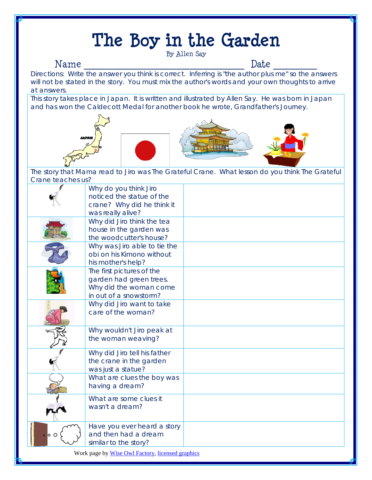# **The Boy in the Garden**

## By Allen Say

Name \_\_\_\_\_\_\_\_\_\_\_\_\_\_\_\_\_\_\_\_\_\_\_\_\_\_\_\_\_\_\_\_\_ Date \_\_\_\_\_\_\_\_\_ Directions: Write the answer you think is correct. Inferring is "the author plus me" so the answers will not be stated in the story. You must mix the author's words and your own thoughts to arrive at answers.

This story takes place in Japan. It is written and illustrated by Allen Say. He was born in Japan and has won the Caldecott Medal for another book he wrote, *Grandfather's Journey*.







The story that Mama read to Jiro was *The Grateful Crane*. What lesson do you think *The Grateful*  Crane teaches us?

|                                                  | Why do you think Jiro<br>noticed the statue of the<br>crane? Why did he think it<br>was really alive?    |  |
|--------------------------------------------------|----------------------------------------------------------------------------------------------------------|--|
|                                                  | Why did Jiro think the tea<br>house in the garden was<br>the woodcutter's house?                         |  |
|                                                  | Why was Jiro able to tie the<br>obi on his Kimono without<br>his mother's help?                          |  |
|                                                  | The first pictures of the<br>garden had green trees.<br>Why did the woman come<br>in out of a snowstorm? |  |
|                                                  | Why did Jiro want to take<br>care of the woman?                                                          |  |
|                                                  | Why wouldn't Jiro peak at<br>the woman weaving?                                                          |  |
|                                                  | Why did Jiro tell his father<br>the crane in the garden<br>was just a statue?                            |  |
|                                                  | What are clues the boy was<br>having a dream?                                                            |  |
|                                                  | What are some clues it<br>wasn't a dream?                                                                |  |
| lo O                                             | Have you ever heard a story<br>and then had a dream<br>similar to the story?                             |  |
| Work page by Wise Owl Factory, licensed graphics |                                                                                                          |  |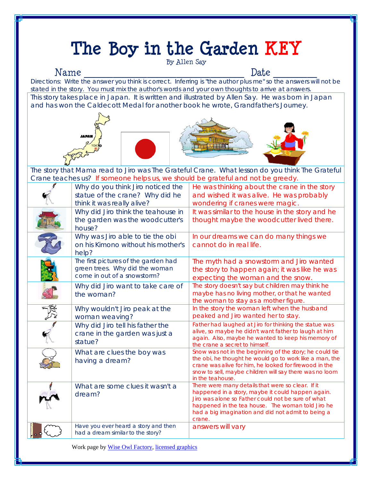### **The Boy in the Garden KEY**  By Allen Say Name \_\_\_\_\_\_\_\_\_\_\_\_\_\_\_\_\_\_\_\_\_\_\_\_\_\_\_\_\_\_\_\_\_ Date \_\_\_\_\_\_\_\_\_ Directions: Write the answer you think is correct. Inferring is "the author plus me" so the answers will not be stated in the story. You must mix the author's words and your own thoughts to arrive at answers. This story takes place in Japan. It is written and illustrated by Allen Say. He was born in Japan and has won the Caldecott Medal for another book he wrote, *Grandfather's Journey*.  $\overline{a}$ The story that Mama read to Jiro was *The Grateful Crane*. What lesson do you think *The Grateful Crane* teaches us? If someone helps us, we should be grateful and not be greedy. Why do you think Jiro noticed the statue of the crane? Why did he think it was really alive? He was thinking about the crane in the story and wished it was alive. He was probably wondering if cranes were magic. Why did Jiro think the teahouse in the garden was the woodcutter's house? It was similar to the house in the story and he thought maybe the woodcutter lived there. Why was Jiro able to tie the obi on his Kimono without his mother's help? In our dreams we can do many things we cannot do in real life. The first pictures of the garden had green trees. Why did the woman come in out of a snowstorm? The myth had a snowstorm and Jiro wanted the story to happen again; it was like he was expecting the woman and the snow. Why did Jiro want to take care of the woman? The story doesn't say but children may think he maybe has no living mother, or that he wanted the woman to stay as a mother figure. Why wouldn't Jiro peak at the woman weaving? In the story the woman left when the husband peaked and Jiro wanted her to stay. Why did Jiro tell his father the crane in the garden was just a statue? Father had laughed at Jiro for thinking the statue was alive, so maybe he didn't want father to laugh at him again. Also, maybe he wanted to keep his memory of the crane a secret to himself. What are clues the boy was having a dream? Snow was not in the beginning of the story; he could tie the obi, he thought he would go to work like a man, the crane was alive for him, he looked for firewood in the snow to sell, maybe children will say there was no loom in the teahouse. What are some clues it wasn't a dream? There were many details that were so clear. If it happened in a story, maybe it could happen again. Jiro was alone so Father could not be sure of what happened in the tea house. The woman told Jiro he had a big imagination and did not admit to being a crane. J Have you ever heard a story and then had a dream similar to the story? answers will vary Work page by Wise Owl Factory, licensed graphics